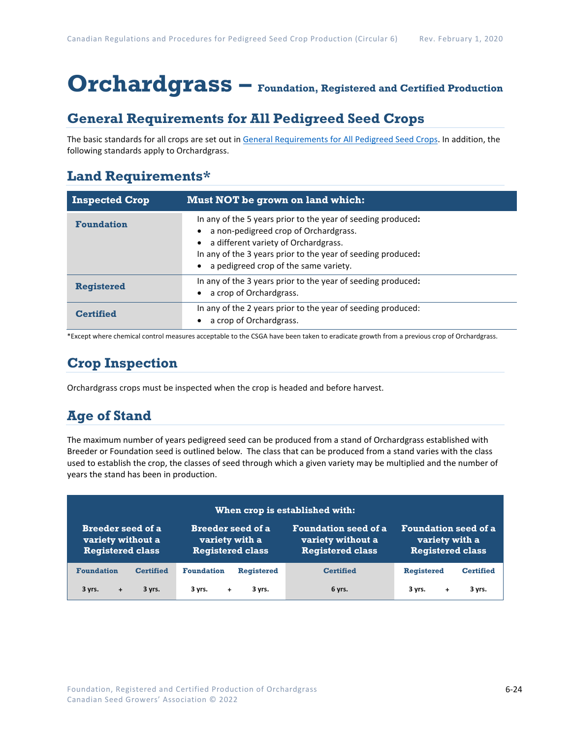# **Orchardgrass – Foundation, Registered and Certified Production**

### **General Requirements for All Pedigreed Seed Crops**

The basic standards for all crops are set out i[n General Requirements for All Pedigreed Seed](https://seedgrowers.ca/wp-content/uploads/2020/01/GENERAL-REQUIREMENTS-ALL-CROPS_EN.pdf) Crops. In addition, the following standards apply to Orchardgrass.

### **Land Requirements\***

| <b>Inspected Crop</b> | Must NOT be grown on land which:                                                                                                                                                                                                                       |
|-----------------------|--------------------------------------------------------------------------------------------------------------------------------------------------------------------------------------------------------------------------------------------------------|
| <b>Foundation</b>     | In any of the 5 years prior to the year of seeding produced:<br>a non-pedigreed crop of Orchardgrass.<br>a different variety of Orchardgrass.<br>In any of the 3 years prior to the year of seeding produced:<br>a pedigreed crop of the same variety. |
| <b>Registered</b>     | In any of the 3 years prior to the year of seeding produced:<br>a crop of Orchardgrass.                                                                                                                                                                |
| Certified             | In any of the 2 years prior to the year of seeding produced:<br>a crop of Orchardgrass.                                                                                                                                                                |

\*Except where chemical control measures acceptable to the CSGA have been taken to eradicate growth from a previous crop of Orchardgrass.

## **Crop Inspection**

Orchardgrass crops must be inspected when the crop is headed and before harvest.

## **Age of Stand**

The maximum number of years pedigreed seed can be produced from a stand of Orchardgrass established with Breeder or Foundation seed is outlined below. The class that can be produced from a stand varies with the class used to establish the crop, the classes of seed through which a given variety may be multiplied and the number of years the stand has been in production.

| When crop is established with:                                     |                                                                       |                   |                                                                             |                                                                          |                  |
|--------------------------------------------------------------------|-----------------------------------------------------------------------|-------------------|-----------------------------------------------------------------------------|--------------------------------------------------------------------------|------------------|
| Breeder seed of a.<br>variety without a<br><b>Registered class</b> | <b>Breeder seed of a</b><br>variety with a<br><b>Registered class</b> |                   | <b>Foundation seed of a</b><br>variety without a<br><b>Registered class</b> | <b>Foundation seed of a</b><br>variety with a<br><b>Registered class</b> |                  |
| <b>Foundation</b><br><b>Certified</b>                              | <b>Foundation</b>                                                     | <b>Registered</b> | <b>Certified</b>                                                            | <b>Registered</b>                                                        | <b>Certified</b> |
| 3 yrs.<br>3 yrs.<br>$\ddot{}$                                      | 3 yrs.<br>$+$                                                         | 3 yrs.            | 6 yrs.                                                                      | 3 yrs.<br>÷                                                              | 3 yrs.           |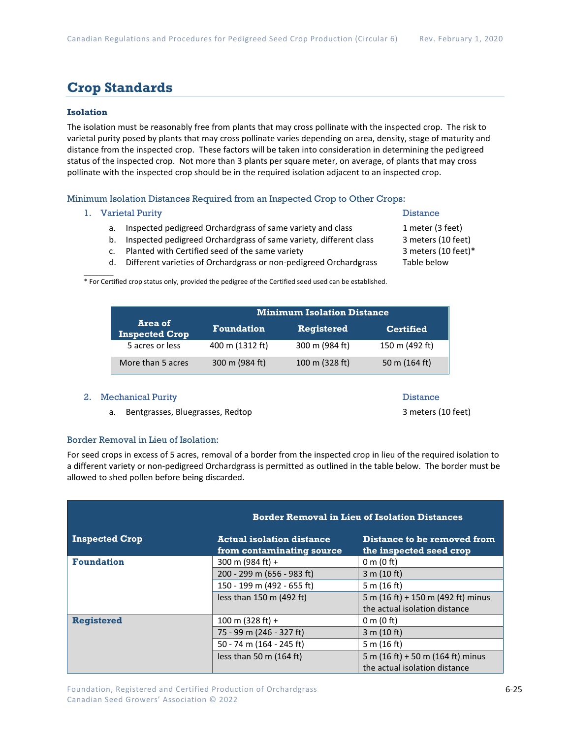### **Crop Standards**

### **Isolation**

The isolation must be reasonably free from plants that may cross pollinate with the inspected crop. The risk to varietal purity posed by plants that may cross pollinate varies depending on area, density, stage of maturity and distance from the inspected crop. These factors will be taken into consideration in determining the pedigreed status of the inspected crop. Not more than 3 plants per square meter, on average, of plants that may cross pollinate with the inspected crop should be in the required isolation adjacent to an inspected crop.

Minimum Isolation Distances Required from an Inspected Crop to Other Crops:

#### 1. Varietal Purity **Distance**

 $\mathcal{L}$ 

- a. Inspected pedigreed Orchardgrass of same variety and class 1 meter (3 feet)
- b. Inspected pedigreed Orchardgrass of same variety, different class 3 meters (10 feet)
- c. Planted with Certified seed of the same variety 3 meters (10 feet)\*
	-

d. Different varieties of Orchardgrass or non-pedigreed Orchardgrass Table below

\* For Certified crop status only, provided the pedigree of the Certified seed used can be established.

|                                  | <b>Minimum Isolation Distance</b> |                |                  |
|----------------------------------|-----------------------------------|----------------|------------------|
| Area of<br><b>Inspected Crop</b> | <b>Foundation</b>                 | Registered     | <b>Certified</b> |
| 5 acres or less                  | 400 m (1312 ft)                   | 300 m (984 ft) | 150 m (492 ft)   |
| More than 5 acres                | 300 m (984 ft)                    | 100 m (328 ft) | 50 m (164 ft)    |

#### 2. Mechanical Purity **Distance** Distance

a. Bentgrasses, Bluegrasses, Redtop 3 meters (10 feet)

### Border Removal in Lieu of Isolation:

For seed crops in excess of 5 acres, removal of a border from the inspected crop in lieu of the required isolation to a different variety or non-pedigreed Orchardgrass is permitted as outlined in the table below. The border must be allowed to shed pollen before being discarded.

|                       |                                                               | <b>Border Removal in Lieu of Isolation Distances</b>               |  |  |
|-----------------------|---------------------------------------------------------------|--------------------------------------------------------------------|--|--|
| <b>Inspected Crop</b> | <b>Actual isolation distance</b><br>from contaminating source | Distance to be removed from<br>the inspected seed crop             |  |  |
| <b>Foundation</b>     | 300 m (984 ft) +                                              | $0 \text{ m}$ (0 ft)                                               |  |  |
|                       | 200 - 299 m (656 - 983 ft)                                    | 3 m (10 ft)                                                        |  |  |
|                       | 150 - 199 m (492 - 655 ft)                                    | 5 m $(16 ft)$                                                      |  |  |
|                       | less than 150 m (492 ft)                                      | 5 m (16 ft) + 150 m (492 ft) minus                                 |  |  |
|                       |                                                               | the actual isolation distance                                      |  |  |
| <b>Registered</b>     | 100 m $(328 ft) +$                                            | $0 \text{ m}$ (0 ft)                                               |  |  |
|                       | 75 - 99 m (246 - 327 ft)                                      | 3 m (10 ft)                                                        |  |  |
|                       | 50 - 74 m (164 - 245 ft)                                      | 5 m $(16 ft)$                                                      |  |  |
|                       | less than 50 m $(164 ft)$                                     | 5 m (16 ft) + 50 m (164 ft) minus<br>the actual isolation distance |  |  |